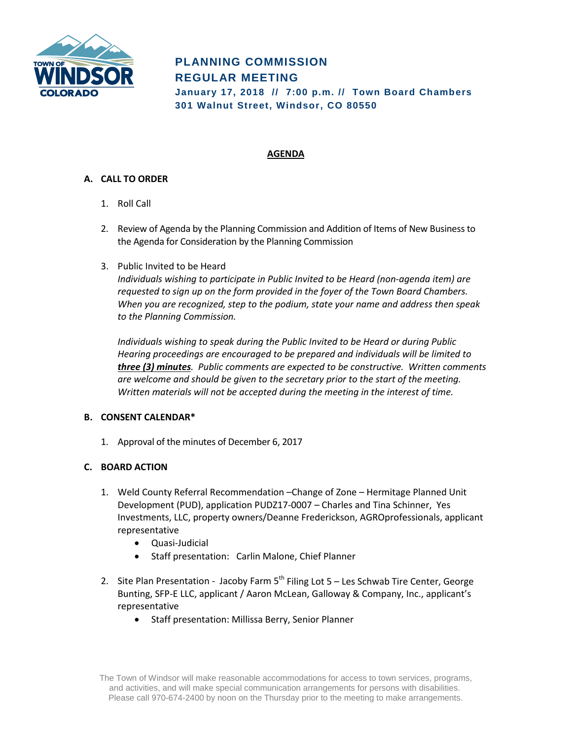

# **PLANNING COMMISSION REGULAR MEETING January 17, 2018 // 7:00 p.m. // Town Board Chambers**

**301 Walnut Street, Windsor, CO 80550**

# **AGENDA**

## **A. CALL TO ORDER**

- 1. Roll Call
- 2. Review of Agenda by the Planning Commission and Addition of Items of New Business to the Agenda for Consideration by the Planning Commission
- 3. Public Invited to be Heard

*Individuals wishing to participate in Public Invited to be Heard (non-agenda item) are requested to sign up on the form provided in the foyer of the Town Board Chambers. When you are recognized, step to the podium, state your name and address then speak to the Planning Commission.*

*Individuals wishing to speak during the Public Invited to be Heard or during Public Hearing proceedings are encouraged to be prepared and individuals will be limited to three (3) minutes. Public comments are expected to be constructive. Written comments are welcome and should be given to the secretary prior to the start of the meeting. Written materials will not be accepted during the meeting in the interest of time.*

## **B. CONSENT CALENDAR\***

1. Approval of the minutes of December 6, 2017

## **C. BOARD ACTION**

- 1. Weld County Referral Recommendation –Change of Zone Hermitage Planned Unit Development (PUD), application PUDZ17-0007 – Charles and Tina Schinner, Yes Investments, LLC, property owners/Deanne Frederickson, AGROprofessionals, applicant representative
	- Quasi-Judicial
	- Staff presentation: Carlin Malone, Chief Planner
- 2. Site Plan Presentation Jacoby Farm  $5<sup>th</sup>$  Filing Lot  $5 -$  Les Schwab Tire Center, George Bunting, SFP-E LLC, applicant / Aaron McLean, Galloway & Company, Inc., applicant's representative
	- Staff presentation: Millissa Berry, Senior Planner

The Town of Windsor will make reasonable accommodations for access to town services, programs, and activities, and will make special communication arrangements for persons with disabilities. Please call 970-674-2400 by noon on the Thursday prior to the meeting to make arrangements.